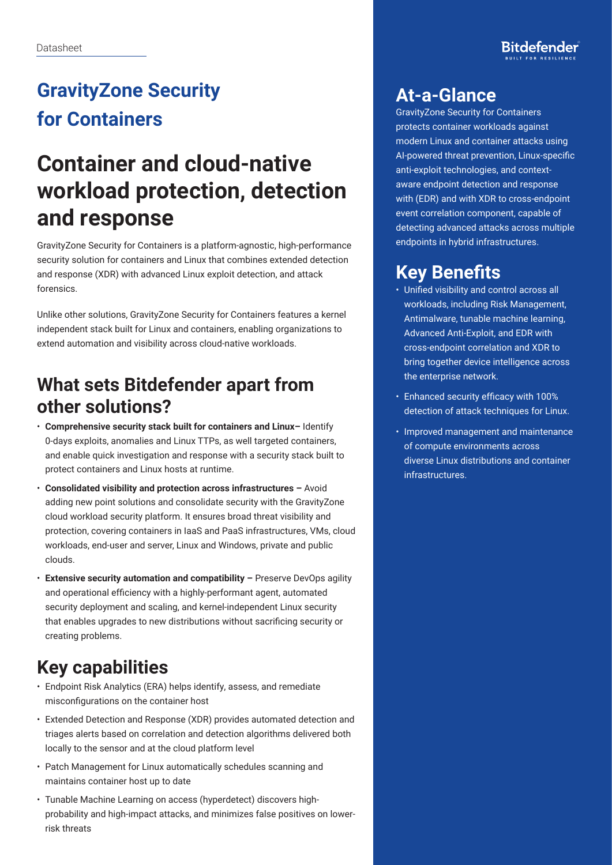# **GravityZone Security for Containers**

# **Container and cloud-native workload protection, detection and response**

GravityZone Security for Containers is a platform-agnostic, high-performance security solution for containers and Linux that combines extended detection and response (XDR) with advanced Linux exploit detection, and attack forensics.

Unlike other solutions, GravityZone Security for Containers features a kernel independent stack built for Linux and containers, enabling organizations to extend automation and visibility across cloud-native workloads.

## **What sets Bitdefender apart from other solutions?**

- **Comprehensive security stack built for containers and Linux–** Identify 0-days exploits, anomalies and Linux TTPs, as well targeted containers, and enable quick investigation and response with a security stack built to protect containers and Linux hosts at runtime.
- **Consolidated visibility and protection across infrastructures –** Avoid adding new point solutions and consolidate security with the GravityZone cloud workload security platform. It ensures broad threat visibility and protection, covering containers in IaaS and PaaS infrastructures, VMs, cloud workloads, end-user and server, Linux and Windows, private and public clouds.
- **Extensive security automation and compatibility –** Preserve DevOps agility and operational efficiency with a highly-performant agent, automated security deployment and scaling, and kernel-independent Linux security that enables upgrades to new distributions without sacrificing security or creating problems.

# **Key capabilities**

- Endpoint Risk Analytics (ERA) helps identify, assess, and remediate misconfigurations on the container host
- Extended Detection and Response (XDR) provides automated detection and triages alerts based on correlation and detection algorithms delivered both locally to the sensor and at the cloud platform level
- Patch Management for Linux automatically schedules scanning and maintains container host up to date
- Tunable Machine Learning on access (hyperdetect) discovers highprobability and high-impact attacks, and minimizes false positives on lowerrisk threats

#### **At-a-Glance**

GravityZone Security for Containers protects container workloads against modern Linux and container attacks using AI-powered threat prevention, Linux-specific anti-exploit technologies, and contextaware endpoint detection and response with (EDR) and with XDR to cross-endpoint event correlation component, capable of detecting advanced attacks across multiple endpoints in hybrid infrastructures.

## **Key Benefits**

- Unified visibility and control across all workloads, including Risk Management, Antimalware, tunable machine learning, Advanced Anti-Exploit, and EDR with cross-endpoint correlation and XDR to bring together device intelligence across the enterprise network.
- Enhanced security efficacy with 100% detection of attack techniques for Linux.
- Improved management and maintenance of compute environments across diverse Linux distributions and container infrastructures.